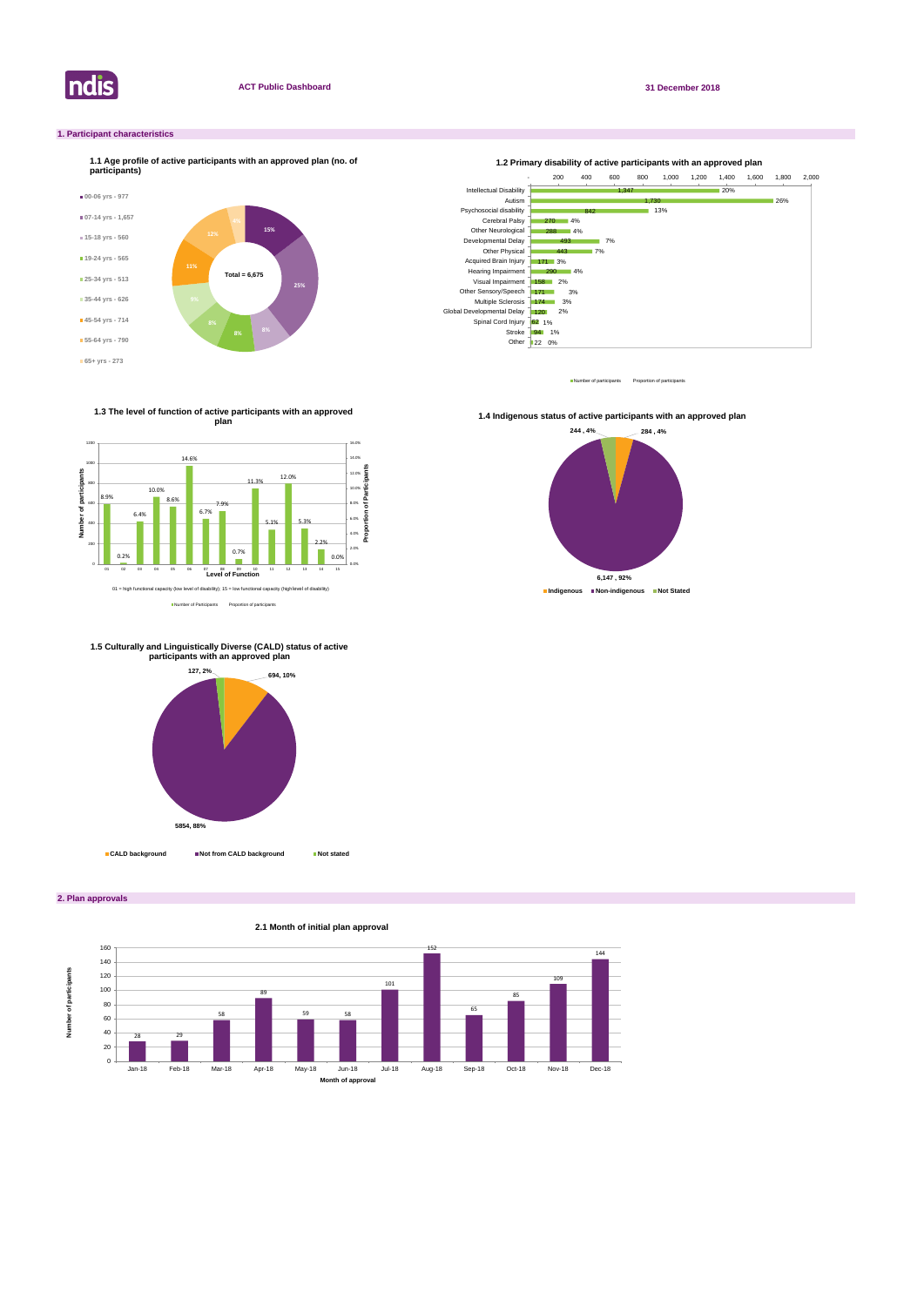

**2. Plan approvals**

### **1. Participant characteristics**



Number of participants Proportion of participant



Number of Participants Proportion of participants

**1.3 The level of function of active participants with an approved plan**



**1.4 Indigenous status of active participants with an approved plan** 





#### **1.5 Culturally and Linguistically Diverse (CALD) status of active participants with an approved plan**

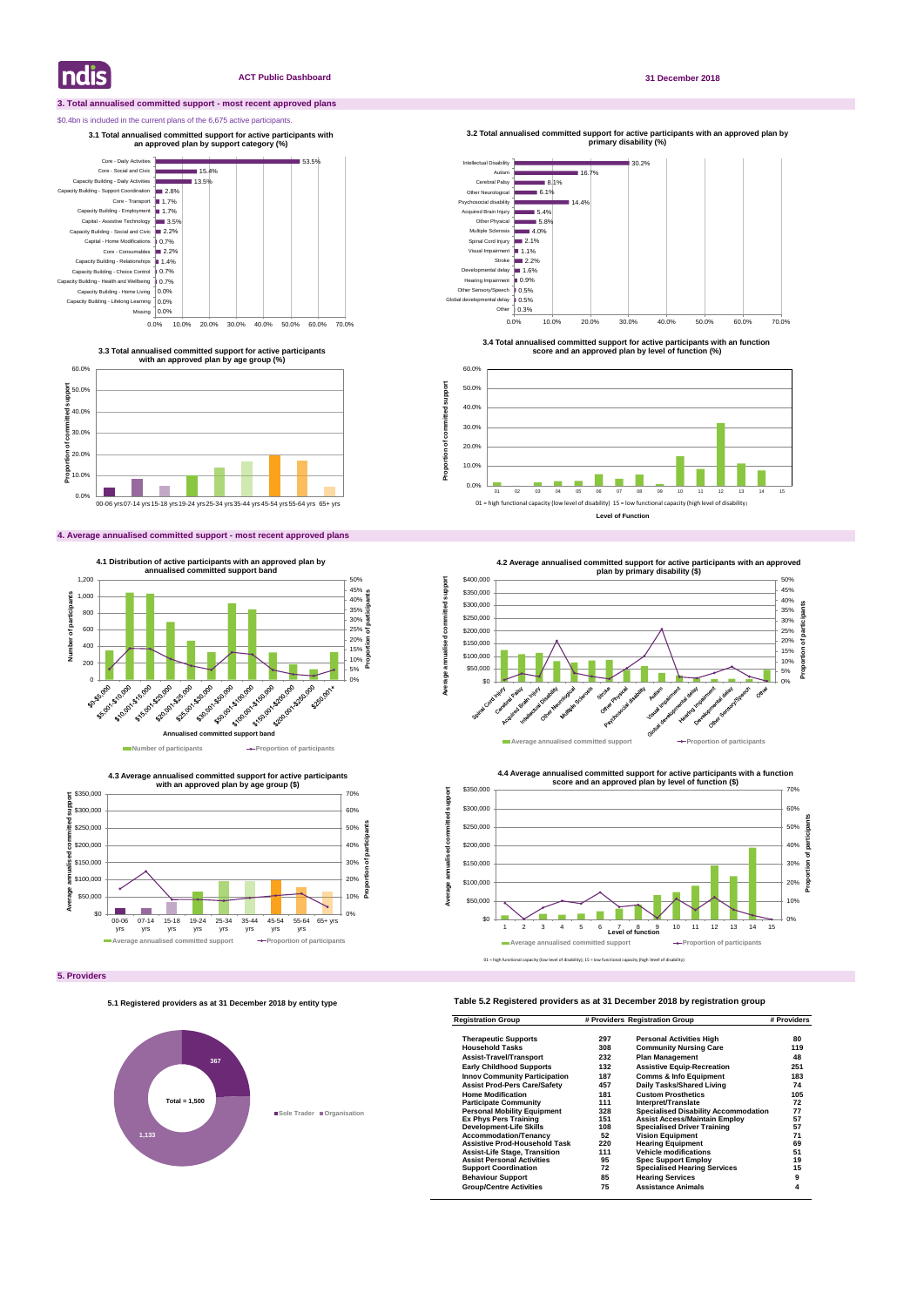#### **3. Total annualised committed support - most recent approved plans**

#### \$0.4bn is included in the current plans of the 6,675 active participants.

#### **4. Average annualised committed support - most recent approved plans**

### **Table 5.2 Registered providers as at 31 December 2018 by registration group**

| <b>Registration Group</b>            | # Providers Registration Group |                                             | # Providers |
|--------------------------------------|--------------------------------|---------------------------------------------|-------------|
| <b>Therapeutic Supports</b>          | 297                            | <b>Personal Activities High</b>             | 80          |
| <b>Household Tasks</b>               | 308                            | <b>Community Nursing Care</b>               | 119         |
| <b>Assist-Travel/Transport</b>       | 232                            | <b>Plan Management</b>                      | 48          |
| <b>Early Childhood Supports</b>      | 132                            | <b>Assistive Equip-Recreation</b>           | 251         |
| <b>Innov Community Participation</b> | 187                            | <b>Comms &amp; Info Equipment</b>           | 183         |
| <b>Assist Prod-Pers Care/Safety</b>  | 457                            | Daily Tasks/Shared Living                   | 74          |
| <b>Home Modification</b>             | 181                            | <b>Custom Prosthetics</b>                   | 105         |
| <b>Participate Community</b>         | 111                            | Interpret/Translate                         | 72          |
| <b>Personal Mobility Equipment</b>   | 328                            | <b>Specialised Disability Accommodation</b> | 77          |
| <b>Ex Phys Pers Training</b>         | 151                            | <b>Assist Access/Maintain Employ</b>        | 57          |
| <b>Development-Life Skills</b>       | 108                            | <b>Specialised Driver Training</b>          | 57          |
| <b>Accommodation/Tenancy</b>         | 52                             | <b>Vision Equipment</b>                     | 71          |
| <b>Assistive Prod-Household Task</b> | 220                            | <b>Hearing Equipment</b>                    | 69          |
| <b>Assist-Life Stage, Transition</b> | 111                            | <b>Vehicle modifications</b>                | 51          |
| <b>Assist Personal Activities</b>    | 95                             | <b>Spec Support Employ</b>                  | 19          |
| <b>Support Coordination</b>          | 72                             | <b>Specialised Hearing Services</b>         | 15          |
| <b>Behaviour Support</b>             | 85                             | <b>Hearing Services</b>                     | 9           |
| <b>Group/Centre Activities</b>       | 75                             | <b>Assistance Animals</b>                   | 4           |

**Indis** 

#### **ACT Public Dashboard 31 December 2018**





**3.3 Total annualised committed support for active participants with an approved plan by age group (%)**

**3.1 Total annualised committed support for active participants with an approved plan by support category (%)** 



**4.3 Average annualised committed support for active participants** 



**3.4 Total annualised committed support for active participants with an function score and an approved plan by level of function (%)**

**3.2 Total annualised committed support for active participants with an approved plan by** 

**Proportion of committed support**

Proportion of committed

support



#### **5.1 Registered providers as at 31 December 2018 by entity type**

# **367 1,133 Sole Trader Organisation Total = 1,500**



<sup>01</sup> = high functional capacity (low level of disability); 15 = low functional capacity (high level of disability)

**Level of Function**



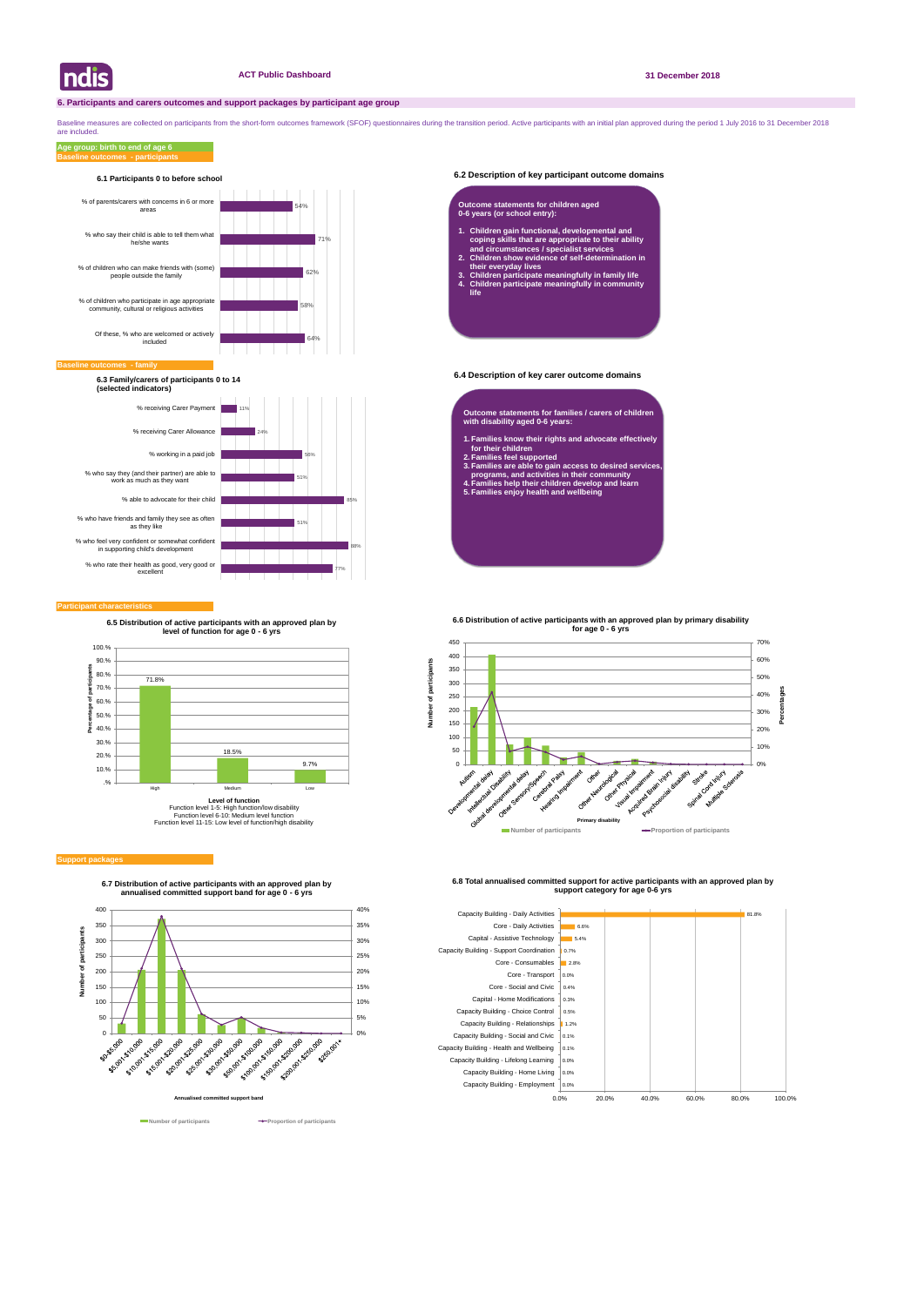#### **6.2 Description of key participant outcome domains**

#### **6.4 Description of key carer outcome domains**

#### **Participant characteristics**

Baseline measures are collected on participants from the short-form outcomes framework (SFOF) questionnaires during the transition period. Active participants with an initial plan approved during the period 1 July 2016 to are included.

#### **Support packages**

#### **Baseline outcomes - participants Age group: birth to end of age 6**





**6.7 Distribution of active participants with an approved plan by annualised committed support band for age 0 - 6 yrs**





**Number of participants Proportion of participants** 

**6.8 Total annualised committed support for active participants with an approved plan by support category for age 0-6 yrs** 



#### **Baseline of**





**6.3 Family/carers of participants 0 to 14 (selected indicators)**

- **Outcome statements for families / carers of children with disability aged 0-6 years:**
- **1. Families know their rights and advocate effectively for their children**
- **2. Families feel supported**
- **3. Families are able to gain access to desired services, programs, and activities in their community**
- **4. Families help their children develop and learn 5. Families enjoy health and wellbeing**

#### **Outcome statements for children aged 0-6 years (or school entry):**

- **1. Children gain functional, developmental and coping skills that are appropriate to their ability and circumstances / specialist services**
- **2. Children show evidence of self-determination in their everyday lives**
- **3. Children participate meaningfully in family life 4. Children participate meaningfully in community life**



**6.5 Distribution of active participants with an approved plan by level of function for age 0 - 6 yrs**



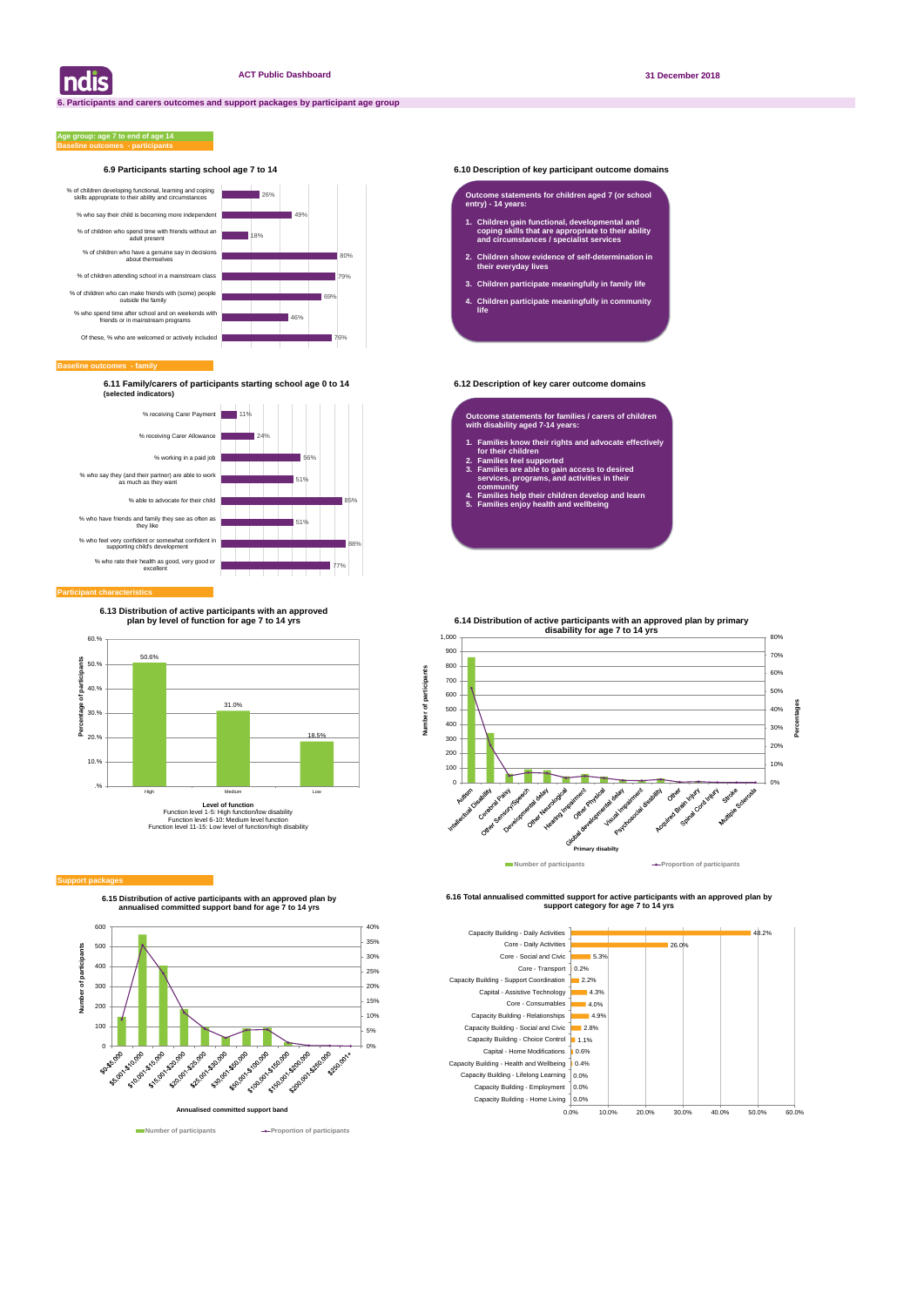#### **6.9 Participants starting school age 7 to 14 6.10 Description of key participant outcome domains**

**Baseline outcomes - family**

#### **Baseline outcomes - participants Age group: age 7 to end of age 14**

**6.11 Family/carers of participants starting school age 0 to 14 6.12 Description of key carer outcome domains (selected indicators)**

| ndis



**6.15 Distribution of active participants with an approved plan by annualised committed support band for age 7 to 14 yrs**



**Number of participants Proportion of participants** 

**6.16 Total annualised committed support for active participants with an approved plan by support category for age 7 to 14 yrs** 





#### **Participant characteristics**

#### **Outcome statements for children aged 7 (or school entry) - 14 years:**

- **1. Children gain functional, developmental and coping skills that are appropriate to their ability and circumstances / specialist services**
- **2. Children show evidence of self-determination in their everyday lives**
- **3. Children participate meaningfully in family life**
- **4. Children participate meaningfully in community life**

**Outcome statements for families / carers of children with disability aged 7-14 years:**

- **1. Families know their rights and advocate effectively for their children**
- **2. Families feel supported**
- **3. Families are able to gain access to desired services, programs, and activities in their community**
- **4. Families help their children develop and learn**
- **5. Families enjoy health and wellbeing**



#### **Support packa**

**6.13 Distribution of active participants with an approved plan by level of function for age 7 to 14 yrs**

**Number of participants**

 $\overline{\sigma}$ 

Number

ťš participal **6.14 Distribution of active participants with an approved plan by primary** 

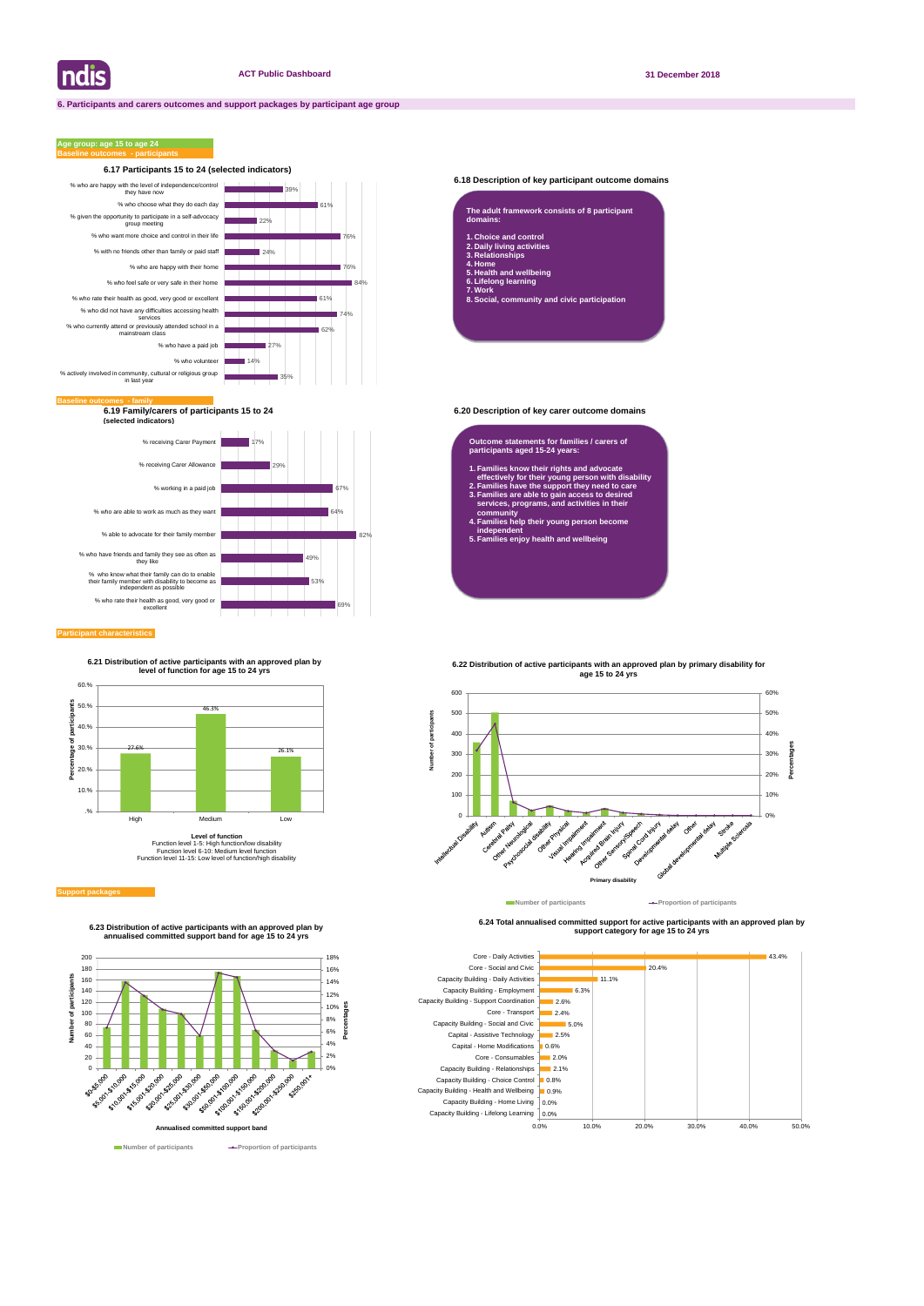

#### **6.18 Description of key participant outcome domains**

**6.19 Family/carers of participants 15 to 24 6.20 Description of key carer outcome domains (selected indicators)**

#### **Participant characteristics**

### **Age group: age 15 to age 24**



#### **6.24 Total annualised committed support for active participants with an approved plan by support category for age 15 to 24 yrs**



| The adult framework consists of 8 participant<br>domains: |
|-----------------------------------------------------------|
| 1. Choice and control                                     |
| 2. Daily living activities                                |
| 3. Relationships                                          |
| 4. Home                                                   |
| 5. Health and wellbeing                                   |
| 6. Lifelong learning                                      |
| 7. Work                                                   |
|                                                           |

**8. Social, community and civic participation**

#### **Outcome statements for families / carers of participants aged 15-24 years:**

- **1. Families know their rights and advocate effectively for their young person with disability**
- **2. Families have the support they need to care 3. Families are able to gain access to desired services, programs, and activities in their**
- **community 4. Families help their young person become independent**
- **5. Families enjoy health and wellbeing**





**6.23 Distribution of active participants with an approved plan by annualised committed support band for age 15 to 24 yrs**

**6.21 Distribution of active participants with an approved plan by level of function for age 15 to 24 yrs**



Function level 1-5: High function/low disability Function level 6-10: Medium level function Function level 11-15: Low level of function/high disability

#### **Support package**

**6.22 Distribution of active participants with an approved plan by primary disability for** 



## **age 15 to 24 yrs**